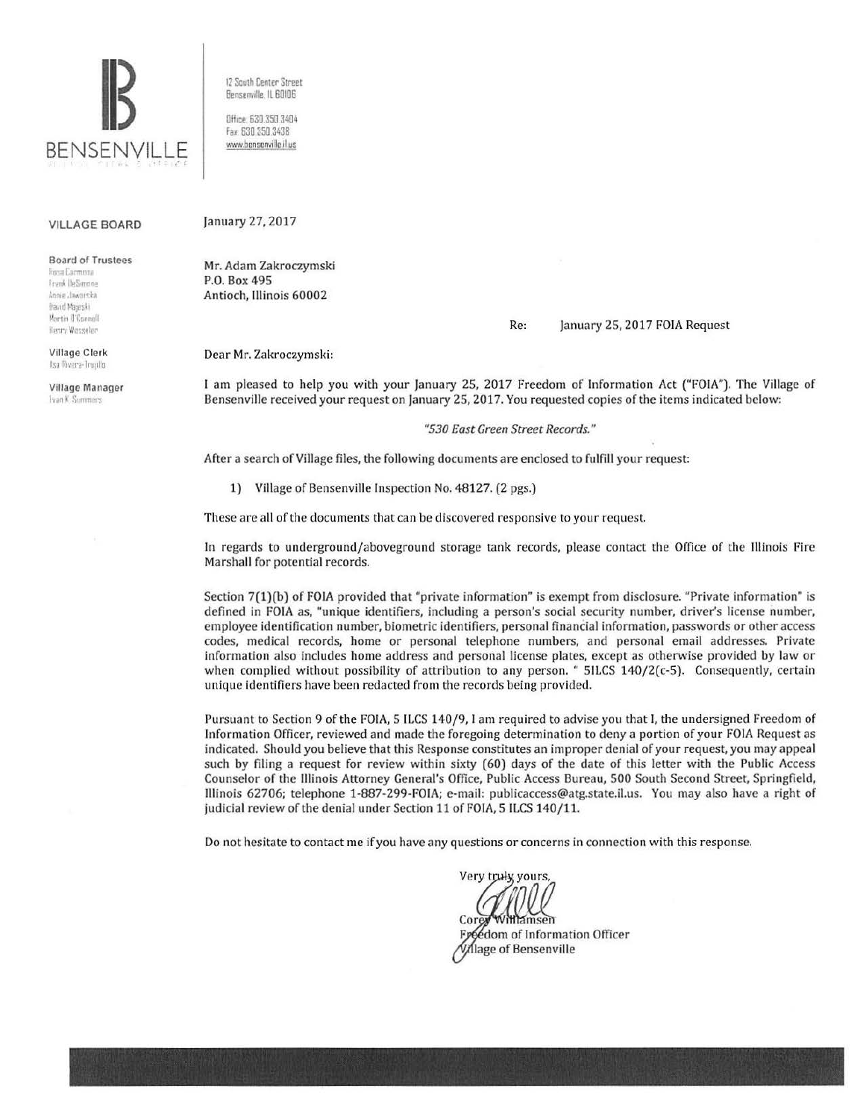

12 South Center Street Bensenville. IL 60106 Office 630.350 3404 Fax: 630 350 3438

www.bensenville il us

#### VILLAGE BOARD

Board of Trustees

linya Carmona Frank IbeSimone<br>Annie Jaworska flavid Majeski Martin (l'Connell Henry Wesseler

Village Clerk llsa Rivera-Truullo

Villago Manager Fyan K. Summers

January 27, 2017

Mr. Adam Zakroczymski P.O. Box 495 Antioch, Illinois 60002

Re: January 25, 2017 FOIA Request

Dear Mr. Zakroczymski:

I am pleased to help you with your January 25, 2017 Freedom of Information Act ("FOIA"). The Village of Bensenville received your request on January 25, 2017. You requested copies of the items indicated below:

*"530 East Green Street Records. "* 

After a search of Village files, the following documents are enclosed to fulfill your request:

1) Village of Bensenville Inspection No. 48127. (2 pgs.)

These are all of the documents that can be discovered responsive to your request.

In regards to underground/aboveground storage tank records, please contact the Office of the Illinois Fire Marshall for potential records.

Section 7(1)(b) of FOIA provided that "private information" is exempt from disclosure. "Private information" is defined in FOIA as, "unique identifiers, including a person's social security number, driver's license number, employee identification number, biometric identifiers, personal financial information, passwords or other access codes, medical records, home or personal telephone numbers, and personal email addresses. Private information also includes home address and personal license plates, except as otherwise provided by law or when complied without possibility of attribution to any person. " 51LCS 140/2(c-5). Consequently, certain unique identifiers have been redacted from the records being provided.

Pursuant to Section 9 of the FOIA, 5 ILCS 140/9, I am required to advise you that I, the undersigned Freedom of Information Officer, reviewed and made the foregoing determination to deny a portion of your FOIA Request as indicated. Should you believe that this Response constitutes an improper denial of your request, you may appeal such by filing a request for review within sixty (60) days of the date of this Jetter with the Public Access Counselor of the Illinois Attorney General's Office, Public Access Bureau, 500 South Second Street, Springfield, Illinois 62706; telephone 1-887-299-FOIA; e-mail: publicaccess@atg.state.il.us. You may also have a right of judicial review of the denial under Section 11 of FOIA, 5 ILCS 140/11.

Do not hesitate to contact me if you have any questions or concerns in connection with this response.

Very truly yours, Freedom of Information Officer Village of Bensenville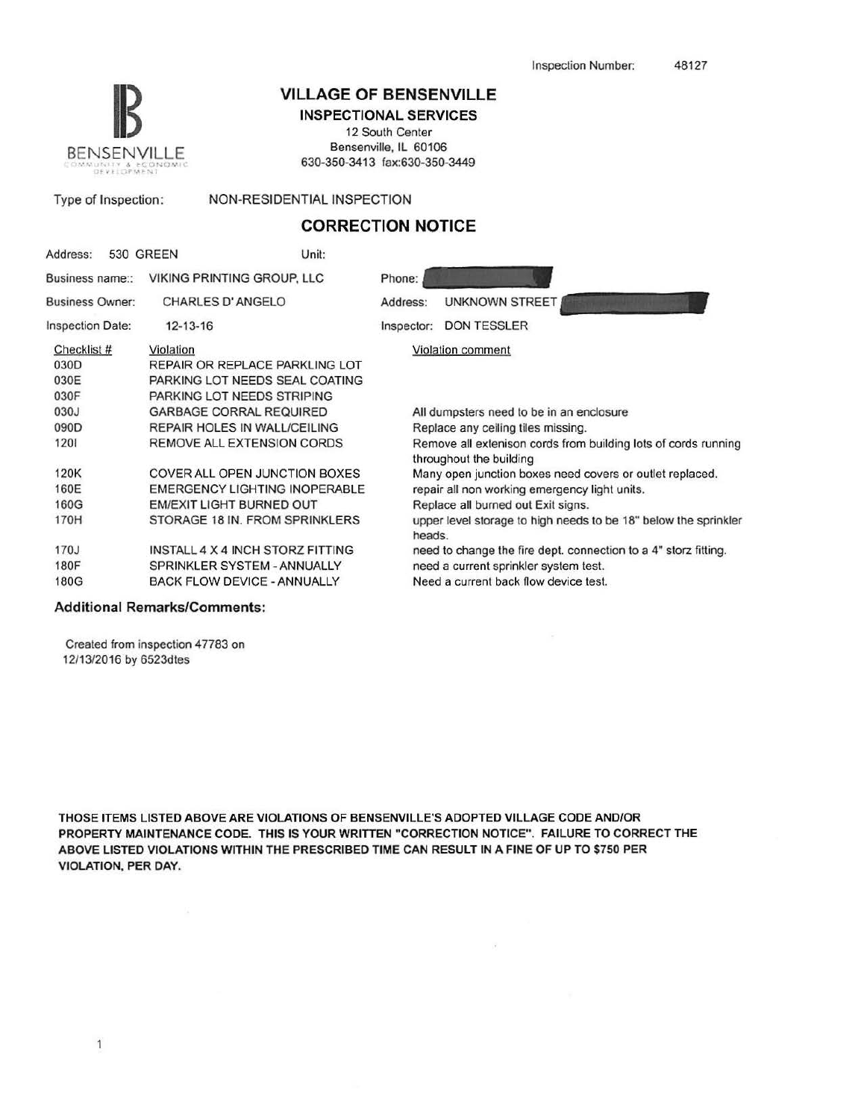

# **VILLAGE OF BENSENVILLE**

INSPECTIONAL SERVICES

12 South Center Bensenville, IL 60106 630-350-3413 fax:630-350-3449

| Type of Inspection: | NON-RESIDENTIAL INSPECTION |
|---------------------|----------------------------|
|                     |                            |

## **CORRECTION NOTICE**

| Address:                                   |  | 530 GREEN | Unit:                                 |                                                                                           |                                                                 |  |  |
|--------------------------------------------|--|-----------|---------------------------------------|-------------------------------------------------------------------------------------------|-----------------------------------------------------------------|--|--|
| Business name::                            |  |           | <b>VIKING PRINTING GROUP, LLC</b>     | Phone:                                                                                    |                                                                 |  |  |
| <b>Business Owner:</b>                     |  |           | CHARLES D'ANGELO                      | Address:                                                                                  | <b>UNKNOWN STREET</b>                                           |  |  |
| Inspection Date:                           |  |           | $12 - 13 - 16$                        |                                                                                           | <b>DON TESSLER</b>                                              |  |  |
| Checklist #                                |  | Violation |                                       |                                                                                           | Violation comment                                               |  |  |
| 030D                                       |  |           | REPAIR OR REPLACE PARKLING LOT        |                                                                                           |                                                                 |  |  |
| 030E                                       |  |           | PARKING LOT NEEDS SEAL COATING        |                                                                                           |                                                                 |  |  |
| 030F                                       |  |           | PARKING LOT NEEDS STRIPING            |                                                                                           |                                                                 |  |  |
| 030J                                       |  |           | <b>GARBAGE CORRAL REQUIRED</b>        |                                                                                           | All dumpsters need to be in an enclosure                        |  |  |
| 090D                                       |  |           | <b>REPAIR HOLES IN WALL/CEILING</b>   | Replace any ceiling tiles missing.                                                        |                                                                 |  |  |
| 1201                                       |  |           | <b>REMOVE ALL EXTENSION CORDS</b>     | Remove all extenison cords from building lots of cords running<br>throughout the building |                                                                 |  |  |
| 120K                                       |  |           | COVER ALL OPEN JUNCTION BOXES         |                                                                                           | Many open junction boxes need covers or outlet replaced.        |  |  |
| 160E                                       |  |           | EMERGENCY LIGHTING INOPERABLE         | repair all non working emergency light units.                                             |                                                                 |  |  |
| 160G                                       |  |           | EM/EXIT LIGHT BURNED OUT              | Replace all burned out Exit signs.                                                        |                                                                 |  |  |
| 170H                                       |  |           | STORAGE 18 IN. FROM SPRINKLERS        | upper level storage to high needs to be 18" below the sprinkler<br>heads.                 |                                                                 |  |  |
| 170J                                       |  |           | INSTALL 4 X 4 INCH STORZ FITTING      |                                                                                           | need to change the fire dept. connection to a 4" storz fitting. |  |  |
| <b>180F</b>                                |  |           | SPRINKLER SYSTEM - ANNUALLY           | need a current sprinkler system test.                                                     |                                                                 |  |  |
| 180G<br><b>BACK FLOW DEVICE - ANNUALLY</b> |  |           | Need a current back flow device test. |                                                                                           |                                                                 |  |  |
|                                            |  |           |                                       |                                                                                           |                                                                 |  |  |

### Additional Remarks/Comments:

Created from inspection 47783 on 12/13/2016 by 6523dtes

THOSE ITEMS LISTED ABOVE ARE VIOLATIONS OF BENSENVILLE'S ADOPTED VILLAGE CODE AND/OR PROPERTY MAINTENANCE CODE. THIS IS YOUR WRITIEN "CORRECTION NOTICE". FAILURE TO CORRECT THE ABOVE LISTED VIOLATIONS WITHIN THE PRESCRIBED TIME CAN RESULT IN A FINE OF UP TO \$750 PER VIOLATION, PER DAY.

 $\mu_{\rm c}$